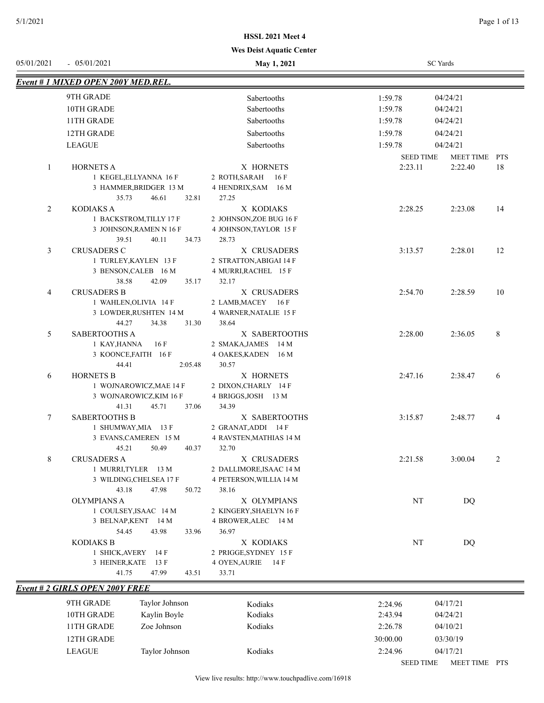| 05/01/2021   | $-05/01/2021$                                    | May 1, 2021                       |                             | <b>SC</b> Yards          |    |
|--------------|--------------------------------------------------|-----------------------------------|-----------------------------|--------------------------|----|
|              | Event # 1 MIXED OPEN 200Y MED.REL.               |                                   |                             |                          |    |
|              | 9TH GRADE                                        | Sabertooths                       | 1:59.78                     | 04/24/21                 |    |
|              | 10TH GRADE                                       | Sabertooths                       | 1:59.78                     | 04/24/21                 |    |
|              | 11TH GRADE                                       | Sabertooths                       | 1:59.78                     | 04/24/21                 |    |
|              | 12TH GRADE                                       | Sabertooths                       | 1:59.78                     | 04/24/21                 |    |
|              | <b>LEAGUE</b>                                    | Sabertooths                       | 1:59.78                     | 04/24/21                 |    |
|              |                                                  |                                   |                             |                          |    |
| $\mathbf{1}$ | <b>HORNETS A</b>                                 | X HORNETS                         | <b>SEED TIME</b><br>2:23.11 | MEET TIME PTS<br>2:22.40 | 18 |
|              | 1 KEGEL, ELLYANNA 16 F                           | 2 ROTH, SARAH<br>16 F             |                             |                          |    |
|              | 3 HAMMER, BRIDGER 13 M                           | 4 HENDRIX, SAM 16 M               |                             |                          |    |
|              | 35.73<br>46.61<br>32.81                          | 27.25                             |                             |                          |    |
| 2            | <b>KODIAKS A</b>                                 | X KODIAKS                         | 2:28.25                     | 2:23.08                  | 14 |
|              | 1 BACKSTROM, TILLY 17 F                          | 2 JOHNSON, ZOE BUG 16 F           |                             |                          |    |
|              | 3 JOHNSON, RAMEN N 16 F                          | 4 JOHNSON, TAYLOR 15 F            |                             |                          |    |
|              | 39.51<br>40.11<br>34.73                          | 28.73                             |                             |                          |    |
| 3            | <b>CRUSADERS C</b>                               | X CRUSADERS                       | 3:13.57                     | 2:28.01                  | 12 |
|              | 1 TURLEY, KAYLEN 13 F                            | 2 STRATTON, ABIGAI 14 F           |                             |                          |    |
|              | 3 BENSON, CALEB 16 M                             | 4 MURRI, RACHEL 15 F              |                             |                          |    |
|              | 38.58<br>42.09<br>35.17                          | 32.17                             |                             |                          |    |
| 4            | <b>CRUSADERS B</b><br>1 WAHLEN, OLIVIA 14 F      | X CRUSADERS<br>2 LAMB, MACEY 16 F | 2:54.70                     | 2:28.59                  | 10 |
|              | 3 LOWDER, RUSHTEN 14 M                           | 4 WARNER, NATALIE 15 F            |                             |                          |    |
|              | 44.27<br>34.38<br>31.30                          | 38.64                             |                             |                          |    |
| 5            | SABERTOOTHS A                                    | X SABERTOOTHS                     | 2:28.00                     | 2:36.05                  | 8  |
|              | 16F<br>1 KAY,HANNA                               | 2 SMAKA, JAMES 14 M               |                             |                          |    |
|              | 3 KOONCE, FAITH 16 F                             | 4 OAKES, KADEN 16 M               |                             |                          |    |
|              | 44.41<br>2:05.48                                 | 30.57                             |                             |                          |    |
| 6            | <b>HORNETS B</b>                                 | X HORNETS                         | 2:47.16                     | 2:38.47                  | 6  |
|              | 1 WOJNAROWICZ, MAE 14 F                          | 2 DIXON, CHARLY 14 F              |                             |                          |    |
|              | 3 WOJNAROWICZ, KIM 16 F                          | 4 BRIGGS, JOSH 13 M               |                             |                          |    |
|              | 41.31<br>45.71<br>37.06                          | 34.39                             |                             |                          |    |
| 7            | <b>SABERTOOTHS B</b>                             | X SABERTOOTHS                     | 3:15.87                     | 2:48.77                  | 4  |
|              | 1 SHUMWAY, MIA 13 F                              | 2 GRANAT, ADDI 14 F               |                             |                          |    |
|              | 3 EVANS, CAMEREN 15 M<br>45.21<br>50.49<br>40.37 | 4 RAVSTEN, MATHIAS 14 M<br>32.70  |                             |                          |    |
| 8            | <b>CRUSADERS A</b>                               | X CRUSADERS                       | 2:21.58                     | 3:00.04                  |    |
|              | 1 MURRI, TYLER 13 M                              | 2 DALLIMORE, ISAAC 14 M           |                             |                          |    |
|              | 3 WILDING, CHELSEA 17 F                          | 4 PETERSON, WILLIA 14 M           |                             |                          |    |
|              | 43.18<br>47.98<br>50.72                          | 38.16                             |                             |                          |    |
|              | <b>OLYMPIANS A</b>                               | X OLYMPIANS                       | NT                          | <b>DQ</b>                |    |
|              | 1 COULSEY, ISAAC 14 M                            | 2 KINGERY, SHAELYN 16 F           |                             |                          |    |
|              | 3 BELNAP, KENT 14 M                              | 4 BROWER, ALEC 14 M               |                             |                          |    |
|              | 54.45<br>43.98<br>33.96                          | 36.97                             |                             |                          |    |
|              | <b>KODIAKS B</b>                                 | X KODIAKS                         | NT                          | DQ                       |    |
|              | 1 SHICK, AVERY 14 F                              | 2 PRIGGE, SYDNEY 15 F             |                             |                          |    |
|              | 3 HEINER, KATE<br>13 F                           | 4 OYEN, AURIE 14 F                |                             |                          |    |
|              | 41.75<br>47.99<br>43.51                          | 33.71                             |                             |                          |    |
|              | <b>Event # 2 GIRLS OPEN 200Y FREE</b>            |                                   |                             |                          |    |
|              |                                                  |                                   |                             |                          |    |

| 9TH GRADE  | Taylor Johnson | Kodiaks | 2:24.96          | 04/17/21                       |
|------------|----------------|---------|------------------|--------------------------------|
| 10TH GRADE | Kaylin Boyle   | Kodiaks | 2:43.94          | 04/24/21                       |
| 11TH GRADE | Zoe Johnson    | Kodiaks | 2:26.78          | 04/10/21                       |
| 12TH GRADE |                |         | 30:00.00         | 03/30/19                       |
| LEAGUE     | Taylor Johnson | Kodiaks | 2:24.96          | 04/17/21                       |
|            |                |         | <b>SEED TIME</b> | <b>PTS</b><br><b>MEET TIME</b> |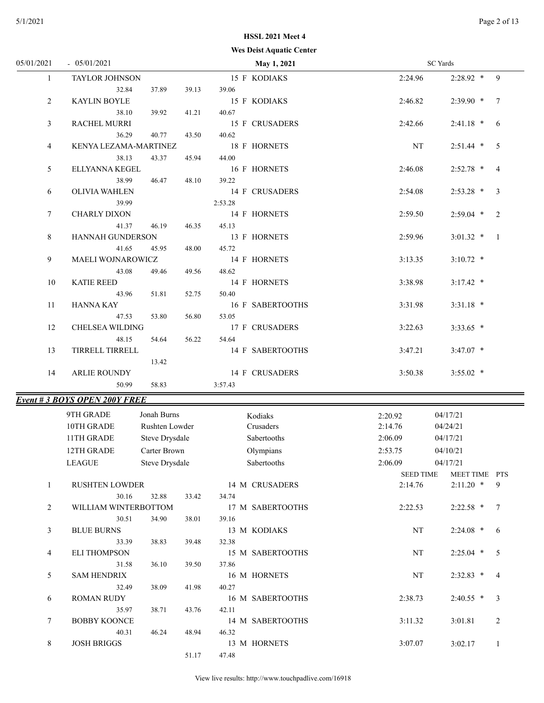#### **Wes Deist Aquatic Center**

| 05/01/2021   | $-05/01/2021$                       |                |       | May 1, 2021          |                  | <b>SC</b> Yards |     |
|--------------|-------------------------------------|----------------|-------|----------------------|------------------|-----------------|-----|
| $\mathbf{1}$ | TAYLOR JOHNSON                      |                |       | 15 F KODIAKS         | 2:24.96          | $2:28.92$ *     | 9   |
|              | 32.84                               | 37.89          | 39.13 | 39.06                |                  |                 |     |
| 2            | <b>KAYLIN BOYLE</b>                 |                |       | 15 F KODIAKS         | 2:46.82          | 2:39.90 *       | 7   |
|              | 38.10                               | 39.92          | 41.21 | 40.67                |                  |                 |     |
| 3            | RACHEL MURRI                        |                |       | 15 F CRUSADERS       | 2:42.66          | $2:41.18$ *     | 6   |
|              | 36.29                               | 40.77          | 43.50 | 40.62                |                  |                 |     |
| 4            | KENYA LEZAMA-MARTINEZ               |                |       | 18 F HORNETS         | NT               | $2:51.44$ *     | 5   |
|              | 38.13                               | 43.37          | 45.94 | 44.00                |                  |                 |     |
| 5            | ELLYANNA KEGEL                      |                |       | 16 F HORNETS         | 2:46.08          | $2:52.78$ *     | 4   |
|              | 38.99                               | 46.47          | 48.10 | 39.22                |                  |                 |     |
| 6            | <b>OLIVIA WAHLEN</b>                |                |       | 14 F CRUSADERS       | 2:54.08          | $2:53.28$ *     | 3   |
|              | 39.99                               |                |       | 2:53.28              |                  |                 |     |
| 7            | <b>CHARLY DIXON</b>                 |                |       | 14 F HORNETS         | 2:59.50          | $2:59.04$ *     | 2   |
|              | 41.37                               | 46.19          | 46.35 | 45.13                |                  |                 |     |
| 8            | HANNAH GUNDERSON                    |                |       | 13 F HORNETS         | 2:59.96          | $3:01.32$ *     | - 1 |
|              | 41.65                               | 45.95          | 48.00 | 45.72                |                  |                 |     |
| 9            | MAELI WOJNAROWICZ                   |                |       | 14 F HORNETS         | 3:13.35          | $3:10.72$ *     |     |
|              | 43.08                               | 49.46          | 49.56 | 48.62                |                  |                 |     |
| 10           | <b>KATIE REED</b>                   |                |       | 14 F HORNETS         | 3:38.98          | $3:17.42$ *     |     |
|              | 43.96                               | 51.81          | 52.75 | 50.40                |                  |                 |     |
| 11           | <b>HANNA KAY</b>                    |                |       | 16 F SABERTOOTHS     | 3:31.98          | $3:31.18$ *     |     |
|              | 47.53                               | 53.80          | 56.80 | 53.05                |                  |                 |     |
| 12           | CHELSEA WILDING                     |                |       | 17 F CRUSADERS       | 3:22.63          | $3:33.65$ *     |     |
|              | 48.15                               | 54.64          | 56.22 | 54.64                |                  |                 |     |
| 13           | TIRRELL TIRRELL                     |                |       | 14 F SABERTOOTHS     | 3:47.21          | $3:47.07$ *     |     |
|              |                                     | 13.42          |       |                      |                  |                 |     |
| 14           | <b>ARLIE ROUNDY</b>                 |                |       | 14 F CRUSADERS       | 3:50.38          | $3:55.02$ *     |     |
|              | 50.99                               | 58.83          |       | 3:57.43              |                  |                 |     |
|              | <b>Event #3 BOYS OPEN 200Y FREE</b> |                |       |                      |                  |                 |     |
|              | 9TH GRADE                           | Jonah Burns    |       |                      |                  |                 |     |
|              |                                     | Rushten Lowder |       | Kodiaks<br>Crusaders | 2:20.92          | 04/17/21        |     |
|              | 10TH GRADE                          |                |       |                      | 2:14.76          | 04/24/21        |     |
|              | 11TH GRADE                          | Steve Drysdale |       | Sabertooths          | 2:06.09          | 04/17/21        |     |
|              | 12TH GRADE                          | Carter Brown   |       | Olympians            | 2:53.75          | 04/10/21        |     |
|              | LEAGUE                              | Steve Drysdale |       | Sabertooths          | 2:06.09          | 04/17/21        |     |
|              |                                     |                |       |                      | <b>SEED TIME</b> | MEET TIME PTS   |     |
| 1            | RUSHTEN LOWDER                      |                |       | 14 M CRUSADERS       | 2:14.76          | $2:11.20$ *     | 9   |
|              | 30.16                               | 32.88          | 33.42 | 34.74                |                  |                 |     |
| 2            | WILLIAM WINTERBOTTOM                |                |       | 17 M SABERTOOTHS     | 2:22.53          | $2:22.58$ * 7   |     |
|              | 30.51                               | 34.90          | 38.01 | 39.16                |                  |                 |     |
| 3            | <b>BLUE BURNS</b>                   |                |       | 13 M KODIAKS         | NT               | $2:24.08$ * 6   |     |
|              | 33.39                               | 38.83          | 39.48 | 32.38                |                  |                 |     |
| 4            | <b>ELI THOMPSON</b>                 |                |       | 15 M SABERTOOTHS     | NT               | $2:25.04$ * 5   |     |
|              | 31.58                               | 36.10          | 39.50 | 37.86                |                  |                 |     |
| 5            | <b>SAM HENDRIX</b>                  |                |       | 16 M HORNETS         | NT               | $2:32.83$ *     | 4   |
|              | 32.49                               | 38.09          | 41.98 | 40.27                |                  |                 |     |
| 6            | <b>ROMAN RUDY</b>                   |                |       | 16 M SABERTOOTHS     | 2:38.73          | $2:40.55$ * 3   |     |
|              | 35.97                               | 38.71          | 43.76 | 42.11                |                  |                 |     |
| 7            | <b>BOBBY KOONCE</b>                 |                |       | 14 M SABERTOOTHS     | 3:11.32          | 3:01.81         | 2   |
|              | 40.31                               | 46.24          | 48.94 | 46.32                |                  |                 |     |
| 8            | <b>JOSH BRIGGS</b>                  |                |       | 13 M HORNETS         | 3:07.07          | 3:02.17         | -1  |
|              |                                     |                | 51.17 | 47.48                |                  |                 |     |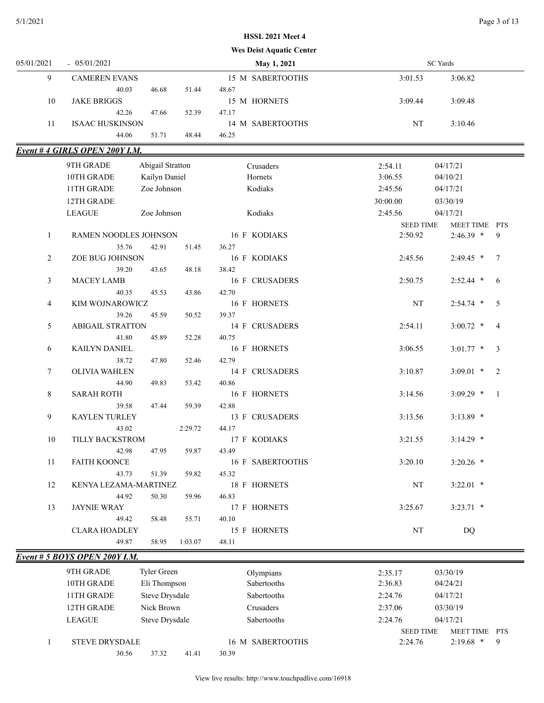#### 5/1/2021 Page 3 of 13

## **HSSL 2021 Meet 4**

|                |                                |                  | <b>Wes Deist Aquatic Center</b> |                             |                                   |
|----------------|--------------------------------|------------------|---------------------------------|-----------------------------|-----------------------------------|
| 05/01/2021     | $-05/01/2021$                  |                  | May 1, 2021                     |                             | SC Yards                          |
| 9              | <b>CAMEREN EVANS</b>           |                  | 15 M SABERTOOTHS                | 3:01.53                     | 3:06.82                           |
|                | 40.03                          | 51.44<br>46.68   | 48.67                           |                             |                                   |
| 10             | <b>JAKE BRIGGS</b>             |                  | 15 M HORNETS                    | 3:09.44                     | 3:09.48                           |
|                | 42.26                          | 47.66<br>52.39   | 47.17                           |                             |                                   |
| 11             | <b>ISAAC HUSKINSON</b>         |                  | 14 M SABERTOOTHS                | NT                          | 3:10.46                           |
|                | 44.06                          | 51.71<br>48.44   | 46.25                           |                             |                                   |
|                | Event #4 GIRLS OPEN 200Y I.M.  |                  |                                 |                             |                                   |
|                | 9TH GRADE                      | Abigail Stratton | Crusaders                       | 2:54.11                     | 04/17/21                          |
|                | 10TH GRADE                     | Kailyn Daniel    | Hornets                         | 3:06.55                     | 04/10/21                          |
|                | 11TH GRADE                     | Zoe Johnson      | Kodiaks                         | 2:45.56                     | 04/17/21                          |
|                | 12TH GRADE                     |                  |                                 | 30:00.00                    | 03/30/19                          |
|                | <b>LEAGUE</b>                  | Zoe Johnson      | Kodiaks                         | 2:45.56                     | 04/17/21                          |
|                |                                |                  |                                 | <b>SEED TIME</b>            | MEET TIME PTS                     |
| 1              | RAMEN NOODLES JOHNSON          |                  | 16 F KODIAKS                    | 2:50.92                     | 9<br>$2:46.39$ *                  |
|                | 35.76                          | 42.91<br>51.45   | 36.27                           |                             |                                   |
| 2              | ZOE BUG JOHNSON                |                  | 16 F KODIAKS                    | 2:45.56                     | $2:49.45$ *<br>7                  |
|                | 39.20                          | 43.65<br>48.18   | 38.42                           |                             |                                   |
| 3              | MACEY LAMB                     |                  | <b>16 F CRUSADERS</b>           | 2:50.75                     | $2:52.44$ *<br>6                  |
|                | 40.35                          | 45.53<br>43.86   | 42.70                           |                             |                                   |
| $\overline{4}$ | KIM WOJNAROWICZ<br>39.26       | 45.59<br>50.52   | 16 F HORNETS<br>39.37           | NT                          | 5<br>$2:54.74$ *                  |
| 5              | <b>ABIGAIL STRATTON</b>        |                  | 14 F CRUSADERS                  | 2:54.11                     | $3:00.72$ *<br>$\overline{4}$     |
|                | 41.80                          | 45.89<br>52.28   | 40.75                           |                             |                                   |
| 6              | KAILYN DANIEL                  |                  | 16 F HORNETS                    | 3:06.55                     | $3:01.77$ *<br>3                  |
|                | 38.72                          | 47.80<br>52.46   | 42.79                           |                             |                                   |
| 7              | <b>OLIVIA WAHLEN</b>           |                  | 14 F CRUSADERS                  | 3:10.87                     | $3:09.01$ *<br>2                  |
|                | 44.90                          | 49.83<br>53.42   | 40.86                           |                             |                                   |
| $8\,$          | <b>SARAH ROTH</b>              |                  | 16 F HORNETS                    | 3:14.56                     | $3:09.29$ *<br>- 1                |
|                | 39.58                          | 47.44<br>59.39   | 42.88                           |                             |                                   |
| 9              | KAYLEN TURLEY                  |                  | 13 F CRUSADERS                  | 3:13.56                     | $3:13.89$ *                       |
|                | 43.02                          | 2:29.72          | 44.17                           |                             |                                   |
| 10             | TILLY BACKSTROM                |                  | 17 F KODIAKS                    | 3:21.55                     | $3:14.29$ *                       |
|                | 42.98                          | 47.95<br>59.87   | 43.49                           |                             |                                   |
| 11             | <b>FAITH KOONCE</b>            |                  | 16 F SABERTOOTHS                | 3:20.10                     | $3:20.26$ *                       |
|                | 43.73                          | 51.39<br>59.82   | 45.32                           |                             |                                   |
| 12             | KENYA LEZAMA-MARTINEZ<br>44.92 | 59.96<br>50.30   | 18 F HORNETS                    | NT                          | $3:22.01$ *                       |
| 13             | <b>JAYNIE WRAY</b>             |                  | 46.83<br>17 F HORNETS           | 3:25.67                     | $3:23.71$ *                       |
|                | 49.42                          | 58.48<br>55.71   | 40.10                           |                             |                                   |
|                | <b>CLARA HOADLEY</b>           |                  | 15 F HORNETS                    | $\rm{NT}$                   | DQ                                |
|                | 49.87                          | 58.95<br>1:03.07 | 48.11                           |                             |                                   |
|                | Event # 5 BOYS OPEN 200Y I.M.  |                  |                                 |                             |                                   |
|                |                                |                  |                                 |                             |                                   |
|                | 9TH GRADE                      | Tyler Green      | Olympians                       | 2:35.17                     | 03/30/19                          |
|                | 10TH GRADE                     | Eli Thompson     | Sabertooths                     | 2:36.83                     | 04/24/21                          |
|                | 11TH GRADE                     | Steve Drysdale   | Sabertooths                     | 2:24.76                     | 04/17/21                          |
|                | 12TH GRADE                     | Nick Brown       | Crusaders                       | 2:37.06                     | 03/30/19                          |
|                | <b>LEAGUE</b>                  | Steve Drysdale   | Sabertooths                     | 2:24.76                     | 04/17/21                          |
| 1              | STEVE DRYSDALE                 |                  | 16 M SABERTOOTHS                | <b>SEED TIME</b><br>2:24.76 | MEET TIME PTS<br>$2:19.68$ *<br>9 |
|                | 30.56                          | 37.32<br>41.41   | 30.39                           |                             |                                   |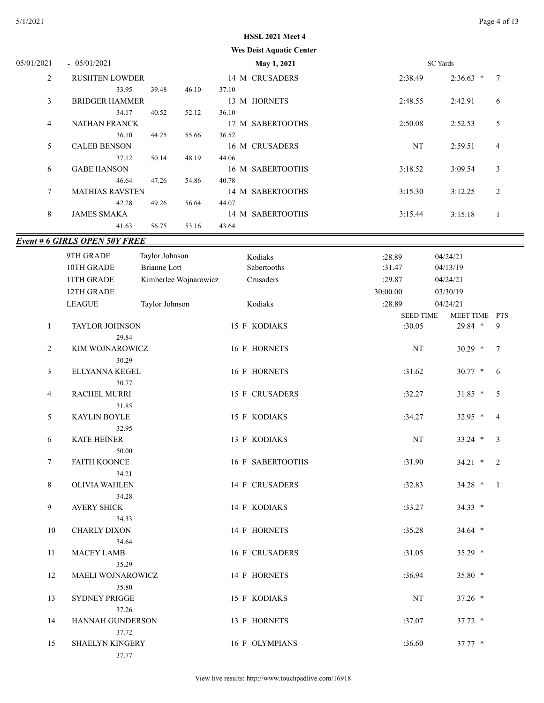|  |  | <b>Wes Deist Aquatic Center</b> |  |
|--|--|---------------------------------|--|
|--|--|---------------------------------|--|

| 05/01/2021     | $-05/01/2021$          |       |       | May 1, 2021      | SC Yards                        |  |
|----------------|------------------------|-------|-------|------------------|---------------------------------|--|
| $\overline{2}$ | <b>RUSHTEN LOWDER</b>  |       |       | 14 M CRUSADERS   | $2:36.63$ *<br>7<br>2:38.49     |  |
|                | 33.95                  | 39.48 | 46.10 | 37.10            |                                 |  |
| 3              | <b>BRIDGER HAMMER</b>  |       |       | 13 M HORNETS     | 2:48.55<br>2:42.91<br>6         |  |
|                | 34.17                  | 40.52 | 52.12 | 36.10            |                                 |  |
| 4              | <b>NATHAN FRANCK</b>   |       |       | 17 M SABERTOOTHS | 2:50.08<br>5<br>2:52.53         |  |
|                | 36.10                  | 44.25 | 55.66 | 36.52            |                                 |  |
| 5              | <b>CALEB BENSON</b>    |       |       | 16 M CRUSADERS   | NT<br>2:59.51<br>$\overline{4}$ |  |
|                | 37.12                  | 50.14 | 48.19 | 44.06            |                                 |  |
| 6              | <b>GABE HANSON</b>     |       |       | 16 M SABERTOOTHS | 3<br>3:18.52<br>3:09.54         |  |
|                | 46.64                  | 47.26 | 54.86 | 40.78            |                                 |  |
| $\tau$         | <b>MATHIAS RAVSTEN</b> |       |       | 14 M SABERTOOTHS | 2<br>3:15.30<br>3:12.25         |  |
|                | 42.28                  | 49.26 | 56.64 | 44.07            |                                 |  |
| 8              | <b>JAMES SMAKA</b>     |       |       | 14 M SABERTOOTHS | 3:15.44<br>3:15.18              |  |
|                | 41.63                  | 56.75 | 53.16 | 43.64            |                                 |  |

# *Event # 6 GIRLS OPEN 50Y FREE*

|              | <u># 0 UINLS UI EN J01 I NEE</u> |                       |                  |                  |                              |
|--------------|----------------------------------|-----------------------|------------------|------------------|------------------------------|
|              | 9TH GRADE                        | Taylor Johnson        | Kodiaks          | :28.89           | 04/24/21                     |
|              | 10TH GRADE                       | <b>Brianne Lott</b>   | Sabertooths      | :31.47           | 04/13/19                     |
|              | 11TH GRADE                       | Kimberlee Wojnarowicz | Crusaders        | :29.87           | 04/24/21                     |
|              | 12TH GRADE                       |                       |                  | 30:00.00         | 03/30/19                     |
|              | <b>LEAGUE</b>                    | Taylor Johnson        | Kodiaks          | :28.89           | 04/24/21                     |
|              |                                  |                       |                  | <b>SEED TIME</b> | MEET TIME PTS                |
| $\mathbf{1}$ | TAYLOR JOHNSON                   |                       | 15 F KODIAKS     | :30.05           | 29.84 *<br>9                 |
|              | 29.84                            |                       |                  |                  |                              |
| 2            | KIM WOJNAROWICZ                  |                       | 16 F HORNETS     | NT               | $30.29$ *<br>$7\phantom{.0}$ |
|              | 30.29                            |                       |                  |                  |                              |
| 3            | ELLYANNA KEGEL                   |                       | 16 F HORNETS     | :31.62           | $30.77$ *<br>6               |
|              | 30.77                            |                       |                  |                  |                              |
| 4            | RACHEL MURRI                     |                       | 15 F CRUSADERS   | :32.27           | $31.85$ *<br>5               |
|              | 31.85                            |                       |                  |                  |                              |
| 5            | <b>KAYLIN BOYLE</b>              |                       | 15 F KODIAKS     | :34.27           | $32.95$ *<br>$\overline{4}$  |
|              | 32.95                            |                       |                  |                  |                              |
| 6            | <b>KATE HEINER</b>               |                       | 13 F KODIAKS     | $\rm{NT}$        | $33.24$ *<br>3               |
|              | 50.00                            |                       |                  |                  |                              |
| 7            | FAITH KOONCE                     |                       | 16 F SABERTOOTHS | :31.90           | 34.21 *<br>2                 |
|              | 34.21                            |                       |                  |                  |                              |
| 8            | OLIVIA WAHLEN                    |                       | 14 F CRUSADERS   | :32.83           | 34.28 *<br>-1                |
| 9            | 34.28<br><b>AVERY SHICK</b>      |                       | 14 F KODIAKS     | :33.27           | 34.33 *                      |
|              | 34.33                            |                       |                  |                  |                              |
| 10           | <b>CHARLY DIXON</b>              |                       | 14 F HORNETS     | :35.28           | 34.64 *                      |
|              | 34.64                            |                       |                  |                  |                              |
| 11           | <b>MACEY LAMB</b>                |                       | 16 F CRUSADERS   | :31.05           | 35.29 *                      |
|              | 35.29                            |                       |                  |                  |                              |
| 12           | MAELI WOJNAROWICZ                |                       | 14 F HORNETS     | :36.94           | 35.80 *                      |
|              | 35.80                            |                       |                  |                  |                              |
| 13           | SYDNEY PRIGGE                    |                       | 15 F KODIAKS     | $\rm{NT}$        | 37.26 *                      |
|              | 37.26                            |                       |                  |                  |                              |
| 14           | HANNAH GUNDERSON                 |                       | 13 F HORNETS     | :37.07           | 37.72 *                      |
|              | 37.72                            |                       |                  |                  |                              |
| 15           | <b>SHAELYN KINGERY</b>           |                       | 16 F OLYMPIANS   | :36.60           | $37.77*$                     |
|              | 37.77                            |                       |                  |                  |                              |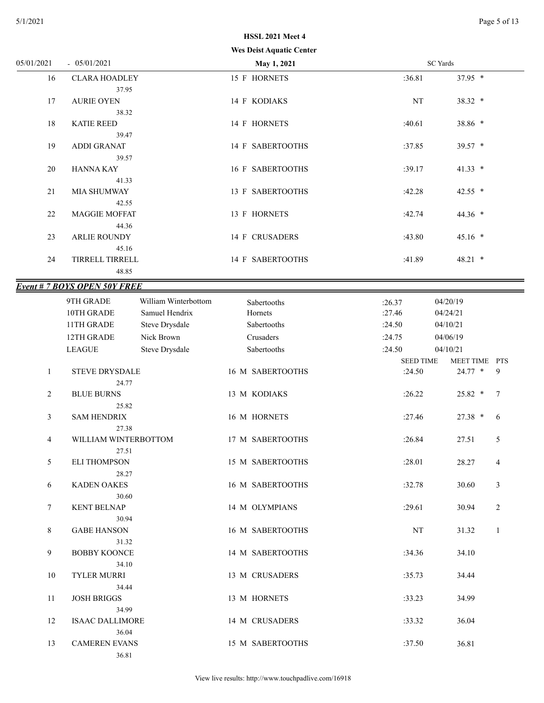|  |  | <b>Wes Deist Aquatic Center</b> |  |
|--|--|---------------------------------|--|
|--|--|---------------------------------|--|

|                |                                       |                                        | Wes Deist Aquatic Center |                            |                                 |
|----------------|---------------------------------------|----------------------------------------|--------------------------|----------------------------|---------------------------------|
| 05/01/2021     | $-05/01/2021$                         |                                        | May 1, 2021              |                            | <b>SC</b> Yards                 |
| 16             | <b>CLARA HOADLEY</b><br>37.95         |                                        | 15 F HORNETS             | :36.81                     | 37.95 *                         |
| 17             | <b>AURIE OYEN</b>                     |                                        | 14 F KODIAKS             | <b>NT</b>                  | 38.32 *                         |
| 18             | 38.32<br><b>KATIE REED</b>            |                                        | 14 F HORNETS             | :40.61                     | 38.86 *                         |
| 19             | 39.47<br><b>ADDI GRANAT</b>           |                                        | 14 F SABERTOOTHS         | :37.85                     | 39.57 *                         |
| 20             | 39.57<br><b>HANNA KAY</b>             |                                        | 16 F SABERTOOTHS         | :39.17                     | $41.33$ *                       |
| 21             | 41.33<br><b>MIA SHUMWAY</b>           |                                        | 13 F SABERTOOTHS         | :42.28                     | 42.55 *                         |
| 22             | 42.55<br><b>MAGGIE MOFFAT</b>         |                                        | 13 F HORNETS             | :42.74                     | 44.36 *                         |
| 23             | 44.36<br><b>ARLIE ROUNDY</b>          |                                        | 14 F CRUSADERS           | :43.80                     | $45.16$ *                       |
| 24             | 45.16<br>TIRRELL TIRRELL              |                                        | 14 F SABERTOOTHS         | :41.89                     | 48.21 *                         |
|                | 48.85                                 |                                        |                          |                            |                                 |
|                | <b>Event # 7 BOYS OPEN 50Y FREE</b>   |                                        |                          |                            |                                 |
|                | 9TH GRADE<br>10TH GRADE               | William Winterbottom<br>Samuel Hendrix | Sabertooths<br>Hornets   | :26.37<br>:27.46           | 04/20/19<br>04/24/21            |
|                | 11TH GRADE                            | Steve Drysdale                         | Sabertooths              | :24.50                     | 04/10/21                        |
|                | 12TH GRADE                            | Nick Brown                             | Crusaders                | :24.75                     | 04/06/19                        |
|                | <b>LEAGUE</b>                         | Steve Drysdale                         | Sabertooths              | :24.50                     | 04/10/21                        |
| $\mathbf{1}$   | <b>STEVE DRYSDALE</b><br>24.77        |                                        | 16 M SABERTOOTHS         | <b>SEED TIME</b><br>:24.50 | MEET TIME PTS<br>$24.77$ *<br>9 |
| $\overline{2}$ | <b>BLUE BURNS</b>                     |                                        | 13 M KODIAKS             | :26.22                     | $25.82$ *<br>$\tau$             |
| $\mathfrak{Z}$ | 25.82<br><b>SAM HENDRIX</b>           |                                        | 16 M HORNETS             | :27.46                     | 27.38 *<br>6                    |
| 4              | 27.38<br>WILLIAM WINTERBOTTOM         |                                        | 17 M SABERTOOTHS         | :26.84                     | 5<br>27.51                      |
| 5              | 27.51<br><b>ELI THOMPSON</b><br>28.27 |                                        | 15 M SABERTOOTHS         | :28.01                     | 28.27<br>$\overline{4}$         |

6 KADEN OAKES 16 M SABERTOOTHS :32.78 30.60 3

7 KENT BELNAP 14 M OLYMPIANS :29.61 30.94 2

8 GABE HANSON 16 M SABERTOOTHS NT 31.32 1

9 BOBBY KOONCE 14 M SABERTOOTHS :34.36 34.10

10 TYLER MURRI 13 M CRUSADERS :35.73 34.44

11 JOSH BRIGGS 13 M HORNETS :33.23 34.99

12 ISAAC DALLIMORE 14 M CRUSADERS :33.32 36.04

13 CAMEREN EVANS 15 M SABERTOOTHS :37.50 36.81

30.60

30.94

31.32

34.10

34.44

34.99

36.04

36.81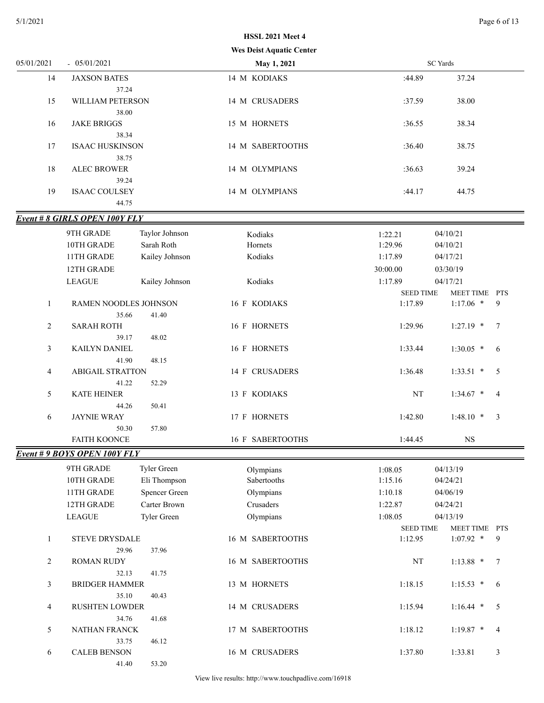#### **Wes Deist Aquatic C HSSL 2021 Meet 4**

|              |                                      | Wes Deist Aquatic Center |                  |                 |                |
|--------------|--------------------------------------|--------------------------|------------------|-----------------|----------------|
| 05/01/2021   | $-05/01/2021$                        | May 1, 2021              |                  | <b>SC</b> Yards |                |
| 14           | <b>JAXSON BATES</b>                  | 14 M KODIAKS             | :44.89           | 37.24           |                |
| 15           | 37.24<br>WILLIAM PETERSON            | 14 M CRUSADERS           | :37.59           | 38.00           |                |
| 16           | 38.00<br><b>JAKE BRIGGS</b>          | 15 M HORNETS             | :36.55           | 38.34           |                |
| 17           | 38.34<br><b>ISAAC HUSKINSON</b>      | 14 M SABERTOOTHS         | :36.40           | 38.75           |                |
| 18           | 38.75<br><b>ALEC BROWER</b>          | 14 M OLYMPIANS           | :36.63           | 39.24           |                |
| 19           | 39.24<br><b>ISAAC COULSEY</b>        | 14 M OLYMPIANS           | :44.17           | 44.75           |                |
|              | 44.75                                |                          |                  |                 |                |
|              | <b>Event # 8 GIRLS OPEN 100Y FLY</b> |                          |                  |                 |                |
|              | 9TH GRADE<br>Taylor Johnson          | Kodiaks                  | 1:22.21          | 04/10/21        |                |
|              | Sarah Roth<br>10TH GRADE             | Hornets                  | 1:29.96          | 04/10/21        |                |
|              | 11TH GRADE<br>Kailey Johnson         | Kodiaks                  | 1:17.89          | 04/17/21        |                |
|              | 12TH GRADE                           |                          | 30:00.00         | 03/30/19        |                |
|              | <b>LEAGUE</b><br>Kailey Johnson      | Kodiaks                  | 1:17.89          | 04/17/21        |                |
|              |                                      |                          |                  |                 |                |
|              |                                      |                          | <b>SEED TIME</b> | MEET TIME PTS   |                |
| $\mathbf{1}$ | RAMEN NOODLES JOHNSON                | 16 F KODIAKS             | 1:17.89          | $1:17.06$ *     | 9              |
|              | 35.66<br>41.40                       |                          |                  |                 |                |
| 2            | <b>SARAH ROTH</b>                    | 16 F HORNETS             | 1:29.96          | $1:27.19$ *     | 7              |
|              | 39.17<br>48.02                       |                          |                  |                 |                |
| 3            | KAILYN DANIEL                        | 16 F HORNETS             | 1:33.44          | $1:30.05$ *     | 6              |
|              | 41.90<br>48.15                       |                          |                  |                 |                |
| 4            | <b>ABIGAIL STRATTON</b>              | 14 F CRUSADERS           | 1:36.48          | $1:33.51$ *     | 5              |
|              | 41.22<br>52.29                       |                          |                  |                 |                |
| 5            | <b>KATE HEINER</b>                   | 13 F KODIAKS             | NT               | $1:34.67$ *     | $\overline{4}$ |
|              | 50.41<br>44.26                       |                          |                  |                 |                |
| 6            | <b>JAYNIE WRAY</b>                   | 17 F HORNETS             | 1:42.80          | $1:48.10$ *     | 3              |
|              |                                      |                          |                  |                 |                |
|              | 57.80<br>50.30                       |                          |                  |                 |                |
|              | <b>FAITH KOONCE</b>                  | 16 F SABERTOOTHS         | 1:44.45          | <b>NS</b>       |                |
|              | <b>Event #9 BOYS OPEN 100Y FLY</b>   |                          |                  |                 |                |
|              | 9TH GRADE<br>Tyler Green             | Olympians                | 1:08.05          | 04/13/19        |                |
|              | 10TH GRADE<br>Eli Thompson           | Sabertooths              | 1:15.16          | 04/24/21        |                |
|              | <b>Spencer Green</b><br>11TH GRADE   | Olympians                | 1:10.18          | 04/06/19        |                |
|              | Carter Brown                         | Crusaders                | 1:22.87          |                 |                |
|              | 12TH GRADE                           |                          |                  | 04/24/21        |                |
|              | Tyler Green<br><b>LEAGUE</b>         | Olympians                | 1:08.05          | 04/13/19        |                |
|              |                                      |                          | <b>SEED TIME</b> | MEET TIME PTS   |                |
| 1            | <b>STEVE DRYSDALE</b>                | 16 M SABERTOOTHS         | 1:12.95          | $1:07.92$ *     | 9              |
|              | 29.96<br>37.96                       |                          |                  |                 |                |
| 2            | <b>ROMAN RUDY</b>                    | 16 M SABERTOOTHS         | $\rm{NT}$        | $1:13.88$ *     | $\tau$         |
|              | 41.75<br>32.13                       |                          |                  |                 |                |
| 3            | <b>BRIDGER HAMMER</b>                | 13 M HORNETS             | 1:18.15          | $1:15.53$ *     | 6              |
|              | 35.10<br>40.43                       |                          |                  |                 |                |
| 4            | <b>RUSHTEN LOWDER</b>                | 14 M CRUSADERS           | 1:15.94          | $1:16.44$ *     | 5              |
|              | 34.76<br>41.68                       |                          |                  |                 |                |
| 5            | NATHAN FRANCK                        | 17 M SABERTOOTHS         | 1:18.12          | $1:19.87$ *     | 4              |
|              | 46.12<br>33.75                       |                          |                  |                 |                |
| 6            | <b>CALEB BENSON</b>                  | 16 M CRUSADERS           | 1:37.80          | 1:33.81         | 3              |
|              |                                      |                          |                  |                 |                |
|              | 53.20<br>41.40                       |                          |                  |                 |                |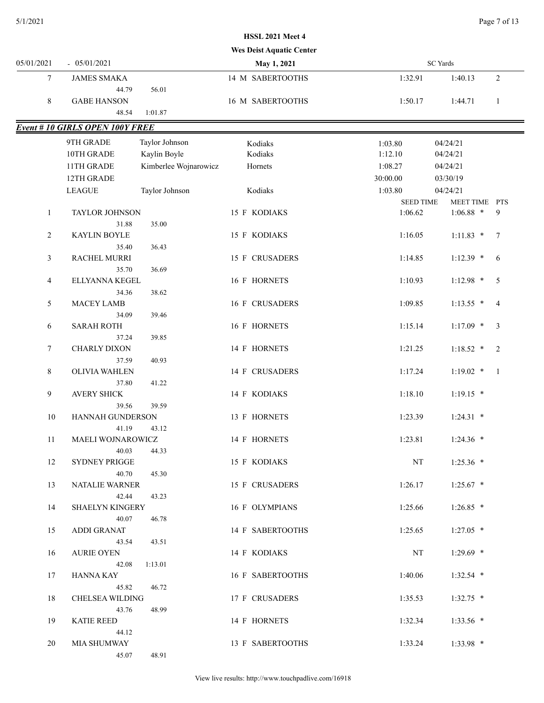|              |                                        |                       | <b>Wes Deist Aquatic Center</b> |                  |                 |                |
|--------------|----------------------------------------|-----------------------|---------------------------------|------------------|-----------------|----------------|
| 05/01/2021   | $-05/01/2021$                          |                       | May 1, 2021                     |                  | <b>SC</b> Yards |                |
| 7            | <b>JAMES SMAKA</b>                     |                       | 14 M SABERTOOTHS                | 1:32.91          | 1:40.13         | $\sqrt{2}$     |
|              | 44.79                                  | 56.01                 |                                 |                  |                 |                |
| $\,8\,$      | <b>GABE HANSON</b>                     |                       | 16 M SABERTOOTHS                | 1:50.17          | 1:44.71         | $\mathbf{1}$   |
|              | 48.54                                  | 1:01.87               |                                 |                  |                 |                |
|              | <b>Event # 10 GIRLS OPEN 100Y FREE</b> |                       |                                 |                  |                 |                |
|              | 9TH GRADE                              | Taylor Johnson        | Kodiaks                         | 1:03.80          | 04/24/21        |                |
|              | 10TH GRADE                             | Kaylin Boyle          | Kodiaks                         | 1:12.10          | 04/24/21        |                |
|              | 11TH GRADE                             | Kimberlee Wojnarowicz | Hornets                         | 1:08.27          | 04/24/21        |                |
|              | 12TH GRADE                             |                       |                                 | 30:00.00         | 03/30/19        |                |
|              | <b>LEAGUE</b>                          | Taylor Johnson        | Kodiaks                         | 1:03.80          | 04/24/21        |                |
|              |                                        |                       |                                 | <b>SEED TIME</b> | MEET TIME PTS   |                |
| $\mathbf{1}$ | TAYLOR JOHNSON                         |                       | 15 F KODIAKS                    | 1:06.62          | $1:06.88$ *     | 9              |
|              | 31.88                                  | 35.00                 |                                 |                  |                 |                |
| 2            | <b>KAYLIN BOYLE</b>                    |                       | 15 F KODIAKS                    | 1:16.05          | $1:11.83$ *     | 7              |
|              | 35.40                                  | 36.43                 |                                 |                  |                 |                |
| 3            | RACHEL MURRI                           |                       | 15 F CRUSADERS                  | 1:14.85          | $1:12.39$ *     | 6              |
|              | 35.70                                  | 36.69                 |                                 |                  |                 |                |
| 4            | ELLYANNA KEGEL                         |                       | 16 F HORNETS                    | 1:10.93          | $1:12.98$ *     | 5              |
|              | 34.36                                  | 38.62                 |                                 |                  |                 |                |
| 5            | <b>MACEY LAMB</b>                      |                       | 16 F CRUSADERS                  | 1:09.85          | $1:13.55$ *     | $\overline{4}$ |
|              | 34.09                                  | 39.46                 |                                 |                  |                 |                |
| 6            | <b>SARAH ROTH</b>                      |                       | 16 F HORNETS                    | 1:15.14          | $1:17.09$ *     | 3              |
|              | 37.24                                  | 39.85                 |                                 |                  |                 |                |
| 7            | CHARLY DIXON                           |                       | 14 F HORNETS                    | 1:21.25          | $1:18.52$ *     | 2              |
|              | 37.59                                  | 40.93                 |                                 |                  |                 |                |
| 8            | OLIVIA WAHLEN                          |                       | 14 F CRUSADERS                  | 1:17.24          | $1:19.02$ *     | $\overline{1}$ |
|              | 37.80                                  | 41.22                 |                                 |                  |                 |                |
| 9            | <b>AVERY SHICK</b><br>39.56            | 39.59                 | 14 F KODIAKS                    | 1:18.10          | $1:19.15$ *     |                |
| 10           | HANNAH GUNDERSON                       |                       | 13 F HORNETS                    | 1:23.39          | $1:24.31$ *     |                |
|              | 41.19                                  | 43.12                 |                                 |                  |                 |                |
| 11           | MAELI WOJNAROWICZ                      |                       | 14 F HORNETS                    | 1:23.81          | $1:24.36$ *     |                |
|              | 40.03                                  | 44.33                 |                                 |                  |                 |                |
| 12           | SYDNEY PRIGGE                          |                       | 15 F KODIAKS                    | NT               | $1:25.36$ *     |                |
|              | 40.70                                  | 45.30                 |                                 |                  |                 |                |
| 13           | NATALIE WARNER                         |                       | 15 F CRUSADERS                  | 1:26.17          | $1:25.67$ *     |                |
|              | 42.44                                  | 43.23                 |                                 |                  |                 |                |
| 14           | <b>SHAELYN KINGERY</b>                 |                       | 16 F OLYMPIANS                  | 1:25.66          | $1:26.85$ *     |                |
|              | 40.07                                  | 46.78                 |                                 |                  |                 |                |
| 15           | <b>ADDI GRANAT</b>                     |                       | 14 F SABERTOOTHS                | 1:25.65          | $1:27.05$ *     |                |
|              | 43.54                                  | 43.51                 |                                 |                  |                 |                |
| 16           | <b>AURIE OYEN</b>                      |                       | 14 F KODIAKS                    | NT               | $1:29.69$ *     |                |
|              | 42.08                                  | 1:13.01               |                                 |                  |                 |                |
| 17           | <b>HANNA KAY</b>                       |                       | 16 F SABERTOOTHS                | 1:40.06          | $1:32.54$ *     |                |
|              | 45.82                                  | 46.72                 |                                 |                  |                 |                |
| 18           | <b>CHELSEA WILDING</b>                 |                       | 17 F CRUSADERS                  | 1:35.53          | $1:32.75$ *     |                |
|              | 43.76<br><b>KATIE REED</b>             | 48.99                 |                                 |                  |                 |                |
| 19           | 44.12                                  |                       | 14 F HORNETS                    | 1:32.34          | $1:33.56$ *     |                |
| 20           | MIA SHUMWAY                            |                       | 13 F SABERTOOTHS                | 1:33.24          | $1:33.98$ *     |                |
|              | 45.07                                  | 48.91                 |                                 |                  |                 |                |
|              |                                        |                       |                                 |                  |                 |                |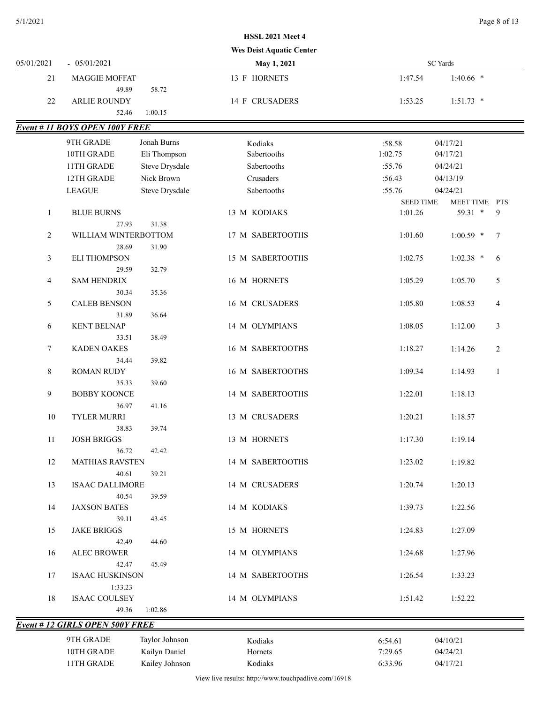|              |                                       |                | <b>Wes Deist Aquatic Center</b> |                  |                           |
|--------------|---------------------------------------|----------------|---------------------------------|------------------|---------------------------|
| 05/01/2021   | $-05/01/2021$                         |                | May 1, 2021                     |                  | <b>SC</b> Yards           |
| 21           | <b>MAGGIE MOFFAT</b>                  |                | 13 F HORNETS                    | 1:47.54          | $1:40.66$ *               |
|              | 49.89                                 | 58.72          |                                 |                  |                           |
| $22\,$       | <b>ARLIE ROUNDY</b>                   |                | 14 F CRUSADERS                  | 1:53.25          | $1:51.73$ *               |
|              | 52.46                                 | 1:00.15        |                                 |                  |                           |
|              | <b>Event # 11 BOYS OPEN 100Y FREE</b> |                |                                 |                  |                           |
|              | 9TH GRADE                             | Jonah Burns    | Kodiaks                         | :58.58           | 04/17/21                  |
|              | 10TH GRADE                            | Eli Thompson   | Sabertooths                     | 1:02.75          | 04/17/21                  |
|              | 11TH GRADE                            | Steve Drysdale | Sabertooths                     | :55.76           | 04/24/21                  |
|              | 12TH GRADE                            | Nick Brown     | Crusaders                       | :56.43           | 04/13/19                  |
|              | <b>LEAGUE</b>                         | Steve Drysdale | Sabertooths                     | :55.76           | 04/24/21                  |
|              |                                       |                |                                 | <b>SEED TIME</b> | MEET TIME PTS             |
| $\mathbf{1}$ | <b>BLUE BURNS</b>                     |                | 13 M KODIAKS                    | 1:01.26          | 59.31 *<br>9              |
|              | 27.93                                 | 31.38          |                                 |                  |                           |
| 2            | WILLIAM WINTERBOTTOM                  |                | 17 M SABERTOOTHS                | 1:01.60          | $1:00.59$ *<br>7          |
|              | 28.69                                 | 31.90          |                                 |                  |                           |
| 3            | <b>ELI THOMPSON</b>                   |                | 15 M SABERTOOTHS                | 1:02.75          | $1:02.38$ *<br>6          |
|              | 29.59                                 | 32.79          |                                 |                  |                           |
| 4            | <b>SAM HENDRIX</b>                    |                | 16 M HORNETS                    | 1:05.29          | 1:05.70<br>5              |
|              | 30.34                                 | 35.36          |                                 |                  |                           |
| 5            | <b>CALEB BENSON</b>                   |                | 16 M CRUSADERS                  | 1:05.80          | 1:08.53<br>$\overline{4}$ |
|              | 31.89                                 | 36.64          |                                 |                  |                           |
| 6            | <b>KENT BELNAP</b>                    |                | 14 M OLYMPIANS                  | 1:08.05          | $\mathfrak{Z}$<br>1:12.00 |
|              | 33.51                                 | 38.49          |                                 |                  |                           |
| 7            | <b>KADEN OAKES</b>                    |                | 16 M SABERTOOTHS                | 1:18.27          | $\overline{2}$<br>1:14.26 |
|              | 34.44                                 | 39.82          |                                 |                  |                           |
| 8            | <b>ROMAN RUDY</b>                     |                | 16 M SABERTOOTHS                | 1:09.34          | $\mathbf{1}$<br>1:14.93   |
|              | 35.33<br><b>BOBBY KOONCE</b>          | 39.60          | 14 M SABERTOOTHS                | 1:22.01          | 1:18.13                   |
| 9            | 36.97                                 | 41.16          |                                 |                  |                           |
| $10\,$       | <b>TYLER MURRI</b>                    |                | 13 M CRUSADERS                  | 1:20.21          | 1:18.57                   |
|              | 38.83                                 | 39.74          |                                 |                  |                           |
| 11           | <b>JOSH BRIGGS</b>                    |                | 13 M HORNETS                    | 1:17.30          | 1:19.14                   |
|              | 36.72                                 | 42.42          |                                 |                  |                           |
| 12           | <b>MATHIAS RAVSTEN</b>                |                | 14 M SABERTOOTHS                | 1:23.02          | 1:19.82                   |
|              | 40.61                                 | 39.21          |                                 |                  |                           |
| 13           | <b>ISAAC DALLIMORE</b>                |                | 14 M CRUSADERS                  | 1:20.74          | 1:20.13                   |
|              | 40.54                                 | 39.59          |                                 |                  |                           |
| 14           | <b>JAXSON BATES</b>                   |                | 14 M KODIAKS                    | 1:39.73          | 1:22.56                   |
|              | 39.11                                 | 43.45          |                                 |                  |                           |
| 15           | <b>JAKE BRIGGS</b>                    |                | 15 M HORNETS                    | 1:24.83          | 1:27.09                   |
|              | 42.49                                 | 44.60          |                                 |                  |                           |
| 16           | <b>ALEC BROWER</b>                    |                | 14 M OLYMPIANS                  | 1:24.68          | 1:27.96                   |
|              | 42.47                                 | 45.49          |                                 |                  |                           |
| 17           | <b>ISAAC HUSKINSON</b>                |                | 14 M SABERTOOTHS                | 1:26.54          | 1:33.23                   |
|              | 1:33.23                               |                |                                 |                  |                           |
| 18           | <b>ISAAC COULSEY</b>                  |                | 14 M OLYMPIANS                  | 1:51.42          | 1:52.22                   |
|              | 49.36                                 | 1:02.86        |                                 |                  |                           |
|              | <b>Event #12 GIRLS OPEN 500Y FREE</b> |                |                                 |                  |                           |
|              | 9TH GRADE                             | Taylor Johnson | Kodiaks                         | 6:54.61          | 04/10/21                  |
|              | 10TH GRADE                            | Kailyn Daniel  | Hornets                         | 7:29.65          | 04/24/21                  |

View live results: http://www.touchpadlive.com/16918

11TH GRADE Kailey Johnson Kodiaks 6:33.96 04/17/21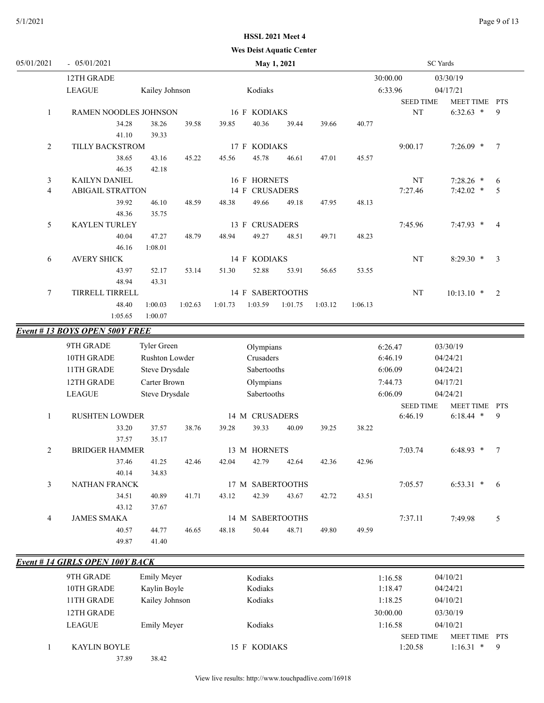#### **Wes Deist Aquatic Center**

| 05/01/2021     | $-05/01/2021$                         |                       |         | May 1, 2021 |                |                  |         | <b>SC</b> Yards |                  |                  |                |
|----------------|---------------------------------------|-----------------------|---------|-------------|----------------|------------------|---------|-----------------|------------------|------------------|----------------|
|                | 12TH GRADE                            |                       |         |             |                |                  |         | 30:00.00        | 03/30/19         |                  |                |
|                | <b>LEAGUE</b>                         | Kailey Johnson        |         |             | Kodiaks        |                  |         |                 | 6:33.96          | 04/17/21         |                |
|                |                                       |                       |         |             |                |                  |         |                 | <b>SEED TIME</b> | MEET TIME PTS    |                |
| 1              | RAMEN NOODLES JOHNSON                 |                       |         |             | 16 F KODIAKS   |                  |         |                 | NT               | $6:32.63$ *      | 9              |
|                | 34.28                                 | 38.26                 | 39.58   | 39.85       | 40.36          | 39.44            | 39.66   | 40.77           |                  |                  |                |
|                | 41.10                                 | 39.33                 |         |             |                |                  |         |                 |                  |                  |                |
| 2              | TILLY BACKSTROM                       |                       |         |             | 17 F KODIAKS   |                  |         |                 | 9:00.17          | $7:26.09$ *      | $\tau$         |
|                | 38.65                                 | 43.16                 | 45.22   | 45.56       | 45.78          | 46.61            | 47.01   | 45.57           |                  |                  |                |
|                | 46.35                                 | 42.18                 |         |             |                |                  |         |                 |                  |                  |                |
| 3              | <b>KAILYN DANIEL</b>                  |                       |         |             | 16 F HORNETS   |                  |         |                 | NT               | $7:28.26$ *      | 6              |
| $\overline{4}$ | <b>ABIGAIL STRATTON</b>               |                       |         |             | 14 F CRUSADERS |                  |         |                 | 7:27.46          | $7:42.02$ *      | 5              |
|                | 39.92                                 | 46.10                 | 48.59   | 48.38       | 49.66          | 49.18            | 47.95   | 48.13           |                  |                  |                |
|                | 48.36                                 | 35.75                 |         |             |                |                  |         |                 |                  |                  |                |
| 5              | <b>KAYLEN TURLEY</b>                  |                       |         |             | 13 F CRUSADERS |                  |         |                 | 7:45.96          | 7:47.93 *        | $\overline{4}$ |
|                | 40.04                                 | 47.27                 | 48.79   | 48.94       | 49.27          | 48.51            | 49.71   | 48.23           |                  |                  |                |
|                | 46.16                                 | 1:08.01               |         |             |                |                  |         |                 |                  |                  |                |
| 6              | <b>AVERY SHICK</b>                    |                       |         |             | 14 F KODIAKS   |                  |         |                 | $\rm{NT}$        | $8:29.30$ *      | 3              |
|                | 43.97                                 | 52.17                 | 53.14   | 51.30       | 52.88          | 53.91            | 56.65   | 53.55           |                  |                  |                |
|                | 48.94                                 | 43.31                 |         |             |                |                  |         |                 |                  |                  |                |
| 7              | TIRRELL TIRRELL                       |                       |         |             |                | 14 F SABERTOOTHS |         | $\rm{NT}$       |                  | $10:13.10$ *     | 2              |
|                | 48.40                                 | 1:00.03               | 1:02.63 | 1:01.73     | 1:03.59        | 1:01.75          | 1:03.12 | 1:06.13         |                  |                  |                |
|                | 1:05.65                               | 1:00.07               |         |             |                |                  |         |                 |                  |                  |                |
|                | <b>Event #13 BOYS OPEN 500Y FREE</b>  |                       |         |             |                |                  |         |                 |                  |                  |                |
|                | 9TH GRADE                             | Tyler Green           |         |             | Olympians      |                  |         |                 | 6:26.47          | 03/30/19         |                |
|                | 10TH GRADE                            | Rushton Lowder        |         |             | Crusaders      |                  |         |                 | 6:46.19          | 04/24/21         |                |
|                | 11TH GRADE                            | <b>Steve Drysdale</b> |         |             | Sabertooths    |                  |         |                 | 6:06.09          | 04/24/21         |                |
|                | 12TH GRADE                            | Carter Brown          |         |             | Olympians      |                  |         |                 | 7:44.73          | 04/17/21         |                |
|                | <b>LEAGUE</b>                         | Steve Drysdale        |         |             | Sabertooths    |                  |         |                 | 6:06.09          | 04/24/21         |                |
|                |                                       |                       |         |             |                |                  |         |                 | <b>SEED TIME</b> | <b>MEET TIME</b> | <b>PTS</b>     |
| 1              | <b>RUSHTEN LOWDER</b>                 |                       |         |             | 14 M CRUSADERS |                  |         |                 | 6:46.19          | $6:18.44$ *      | 9              |
|                | 33.20                                 | 37.57                 | 38.76   | 39.28       | 39.33          | 40.09            | 39.25   | 38.22           |                  |                  |                |
|                | 37.57                                 | 35.17                 |         |             |                |                  |         |                 |                  |                  |                |
| 2              | <b>BRIDGER HAMMER</b>                 |                       |         |             | 13 M HORNETS   |                  |         |                 | 7:03.74          | $6:48.93$ *      | 7              |
|                | 37.46                                 | 41.25                 | 42.46   | 42.04       | 42.79          | 42.64            | 42.36   | 42.96           |                  |                  |                |
|                | 40.14                                 | 34.83                 |         |             |                |                  |         |                 |                  |                  |                |
| 3              | NATHAN FRANCK                         |                       |         |             |                | 17 M SABERTOOTHS |         |                 | 7:05.57          | $6:53.31$ *      | - 6            |
|                | 34.51                                 | 40.89                 | 41.71   | 43.12       | 42.39          | 43.67            | 42.72   | 43.51           |                  |                  |                |
|                | 43.12                                 | 37.67                 |         |             |                |                  |         |                 |                  |                  |                |
| 4              | <b>JAMES SMAKA</b>                    |                       |         |             |                | 14 M SABERTOOTHS |         |                 | 7:37.11          | 7:49.98          | 5              |
|                | 40.57                                 | 44.77                 | 46.65   | 48.18       | 50.44          | 48.71            | 49.80   | 49.59           |                  |                  |                |
|                | 49.87                                 | 41.40                 |         |             |                |                  |         |                 |                  |                  |                |
|                |                                       |                       |         |             |                |                  |         |                 |                  |                  |                |
|                | <b>Event #14 GIRLS OPEN 100Y BACK</b> |                       |         |             |                |                  |         |                 |                  |                  |                |
|                | 9TH GRADE                             | <b>Emily Meyer</b>    |         |             | Kodiaks        |                  |         |                 | 1:16.58          | 04/10/21         |                |
|                | 10THCDADE                             | $V -$                 |         |             | $V = 11.1$     |                  |         |                 | 1.10A7           | 0.4/2.4/21       |                |

| 9TH GRADE           | Emily Meyer        | Kodiaks      | 1:16.58          | 04/10/21                |
|---------------------|--------------------|--------------|------------------|-------------------------|
| 10TH GRADE          | Kaylin Boyle       | Kodiaks      | 1:18.47          | 04/24/21                |
| 11TH GRADE          | Kailey Johnson     | Kodiaks      | 1:18.25          | 04/10/21                |
| 12TH GRADE          |                    |              | 30:00.00         | 03/30/19                |
| <b>LEAGUE</b>       | <b>Emily Meyer</b> | Kodiaks      | 1:16.58          | 04/10/21                |
|                     |                    |              | <b>SEED TIME</b> | MEET TIME<br><b>PTS</b> |
| <b>KAYLIN BOYLE</b> |                    | 15 F KODIAKS | 1:20.58          | $1:16.31$ *<br>-9       |
| 37.89               | 38.42              |              |                  |                         |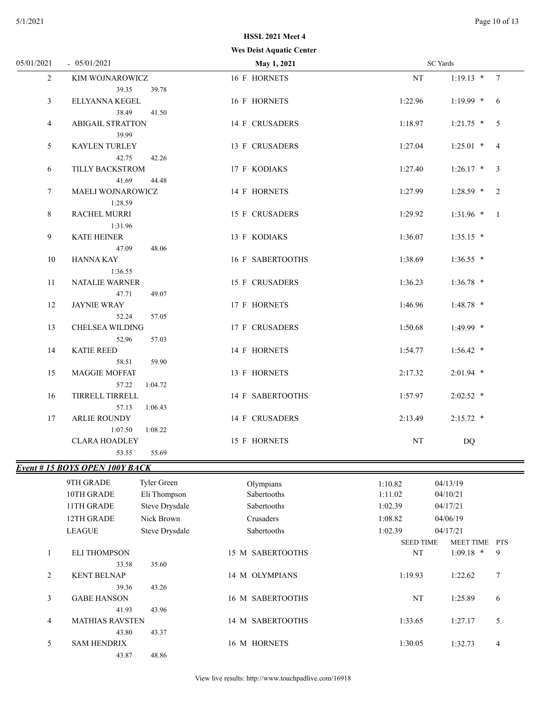#### **Wes Deist Aquatic Center HSSL 2021 Meet 4**

|                |                                      | wes beist Aquatic Center |                        |                                                    |  |
|----------------|--------------------------------------|--------------------------|------------------------|----------------------------------------------------|--|
| 05/01/2021     | $-05/01/2021$                        | <b>May 1, 2021</b>       | <b>SC</b> Yards        |                                                    |  |
| $\overline{2}$ | KIM WOJNAROWICZ                      | 16 F HORNETS             | $\rm{NT}$              | $1:19.13$ * 7                                      |  |
|                | 39.35<br>39.78                       |                          |                        |                                                    |  |
| 3              | ELLYANNA KEGEL                       | 16 F HORNETS             | 1:22.96                | $1:19.99$ * 6                                      |  |
|                | 38.49<br>41.50                       |                          |                        |                                                    |  |
| 4              | <b>ABIGAIL STRATTON</b>              | 14 F CRUSADERS           | 1:18.97                | $1:21.75$ * 5                                      |  |
|                | 39.99                                |                          |                        |                                                    |  |
| 5              | KAYLEN TURLEY                        | 13 F CRUSADERS           | 1:27.04                | $1:25.01$ * 4                                      |  |
|                | 42.75<br>42.26                       |                          |                        |                                                    |  |
| 6              | TILLY BACKSTROM                      | 17 F KODIAKS             | 1:27.40                | $1:26.17$ * 3                                      |  |
|                | 41.69<br>44.48                       |                          |                        |                                                    |  |
| $\tau$         | MAELI WOJNAROWICZ                    | 14 F HORNETS             | 1:27.99                | $1:28.59$ * 2                                      |  |
|                | 1:28.59                              |                          |                        |                                                    |  |
| 8              | <b>RACHEL MURRI</b>                  | 15 F CRUSADERS           | 1:29.92                | $1:31.96$ * 1                                      |  |
|                | 1:31.96                              |                          |                        |                                                    |  |
| 9              | <b>KATE HEINER</b>                   | 13 F KODIAKS             | 1:36.07                | $1:35.15$ *                                        |  |
|                | 48.06<br>47.09                       |                          |                        |                                                    |  |
| 10             | HANNA KAY                            | 16 F SABERTOOTHS         | 1:38.69                | $1:36.55$ *                                        |  |
|                | 1:36.55                              |                          |                        |                                                    |  |
| 11             | NATALIE WARNER                       | 15 F CRUSADERS           | 1:36.23                | $1:36.78$ *                                        |  |
|                | 47.71<br>49.07                       |                          |                        |                                                    |  |
| 12             | <b>JAYNIE WRAY</b>                   | 17 F HORNETS             | 1:46.96                | $1:48.78$ *                                        |  |
|                | 57.05<br>52.24                       |                          |                        |                                                    |  |
| 13             | CHELSEA WILDING                      | 17 F CRUSADERS           | 1:50.68                | $1:49.99$ *                                        |  |
|                | 52.96<br>57.03                       |                          |                        |                                                    |  |
| 14             | <b>KATIE REED</b>                    | 14 F HORNETS             | 1:54.77                | $1:56.42$ *                                        |  |
|                | 59.90<br>58.51                       |                          |                        |                                                    |  |
| 15             | MAGGIE MOFFAT                        | 13 F HORNETS             | 2:17.32                | $2:01.94$ *                                        |  |
|                | 57.22<br>1:04.72                     |                          |                        |                                                    |  |
| 16             | TIRRELL TIRRELL                      | 14 F SABERTOOTHS         | 1:57.97                | $2:02.52$ *                                        |  |
|                | 57.13<br>1:06.43                     |                          |                        |                                                    |  |
| 17             | <b>ARLIE ROUNDY</b>                  | 14 F CRUSADERS           | 2:13.49                | $2:15.72$ *                                        |  |
|                | 1:07.50<br>1:08.22                   |                          |                        |                                                    |  |
|                | <b>CLARA HOADLEY</b>                 | 15 F HORNETS             | $_{\rm NT}$            | DQ                                                 |  |
|                | 53.55<br>55.69                       |                          |                        |                                                    |  |
|                | <b>Event #15 BOYS OPEN 100Y BACK</b> |                          |                        |                                                    |  |
|                | Tyler Green<br>9TH GRADE             | Olympians                | 1:10.82                | 04/13/19                                           |  |
|                | 10TH GRADE<br>Eli Thompson           | Sabertooths              | 1:11.02                | 04/10/21                                           |  |
|                | Steve Drysdale<br>11TH GRADE         | Sabertooths              | 1:02.39                | 04/17/21                                           |  |
|                | 12TH GRADE<br>Nick Brown             | Crusaders                | 1:08.82                | 04/06/19                                           |  |
|                |                                      |                          |                        |                                                    |  |
|                | <b>LEAGUE</b><br>Steve Drysdale      | Sabertooths              | 1:02.39                | 04/17/21                                           |  |
|                |                                      | 15 M SABERTOOTHS         | <b>SEED TIME</b><br>NT | <b>MEET TIME</b><br><b>PTS</b><br>$1:09.18$ *<br>9 |  |
| $\mathbf{1}$   | <b>ELI THOMPSON</b><br>33.58         |                          |                        |                                                    |  |
|                | 35.60<br><b>KENT BELNAP</b>          |                          |                        | 7                                                  |  |
| $\overline{c}$ |                                      | 14 M OLYMPIANS           | 1:19.93                | 1:22.62                                            |  |
|                | 43.26<br>39.36                       | 16 M SABERTOOTHS         | $\rm{NT}$              |                                                    |  |
| 3              | <b>GABE HANSON</b>                   |                          |                        | 1:25.89<br>6                                       |  |
|                | 41.93<br>43.96                       |                          |                        |                                                    |  |
| 4              | <b>MATHIAS RAVSTEN</b>               | 14 M SABERTOOTHS         | 1:33.65                | 1:27.17<br>5                                       |  |
|                | 43.80<br>43.37                       |                          |                        |                                                    |  |
| 5              | <b>SAM HENDRIX</b>                   | 16 M HORNETS             | 1:30.05                | 1:32.73<br>4                                       |  |
|                | 48.86<br>43.87                       |                          |                        |                                                    |  |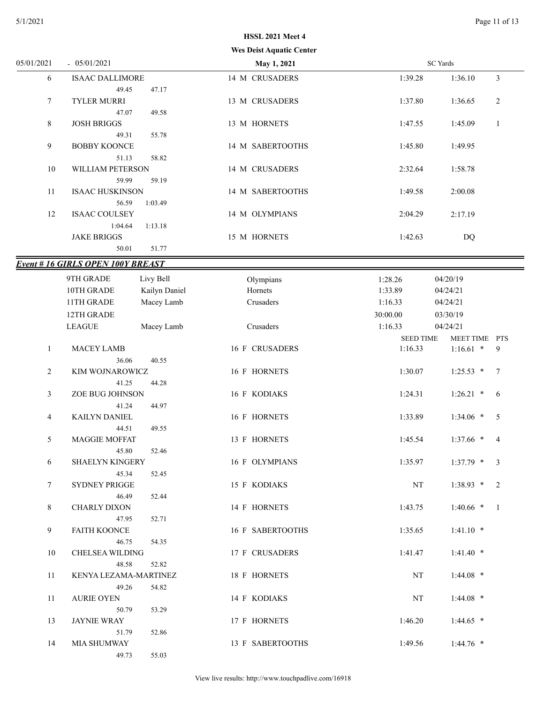|                |                                         | <b>HSSL 2021 Meet 4</b>         |                  |                           |
|----------------|-----------------------------------------|---------------------------------|------------------|---------------------------|
|                |                                         | <b>Wes Deist Aquatic Center</b> |                  |                           |
| 05/01/2021     | $-05/01/2021$                           | May 1, 2021                     |                  | <b>SC</b> Yards           |
| 6              | <b>ISAAC DALLIMORE</b>                  | 14 M CRUSADERS                  | 1:39.28          | 1:36.10<br>3              |
|                | 49.45<br>47.17                          |                                 |                  |                           |
| $\tau$         | <b>TYLER MURRI</b>                      | 13 M CRUSADERS                  | 1:37.80          | $\overline{c}$<br>1:36.65 |
|                | 47.07<br>49.58                          |                                 |                  |                           |
| 8              | <b>JOSH BRIGGS</b>                      | 13 M HORNETS                    | 1:47.55          | $\mathbf{1}$<br>1:45.09   |
|                | 49.31<br>55.78                          |                                 |                  |                           |
| 9              | <b>BOBBY KOONCE</b>                     | 14 M SABERTOOTHS                | 1:45.80          | 1:49.95                   |
|                | 58.82<br>51.13                          |                                 |                  |                           |
| 10             | WILLIAM PETERSON                        | 14 M CRUSADERS                  | 2:32.64          | 1:58.78                   |
|                | 59.99<br>59.19                          |                                 |                  |                           |
| 11             | <b>ISAAC HUSKINSON</b>                  | 14 M SABERTOOTHS                | 1:49.58          | 2:00.08                   |
|                | 56.59<br>1:03.49                        |                                 |                  |                           |
| 12             | <b>ISAAC COULSEY</b>                    | 14 M OLYMPIANS                  | 2:04.29          | 2:17.19                   |
|                | 1:04.64<br>1:13.18                      |                                 |                  |                           |
|                | <b>JAKE BRIGGS</b>                      | 15 M HORNETS                    | 1:42.63          | <b>DQ</b>                 |
|                | 50.01<br>51.77                          |                                 |                  |                           |
|                | <b>Event #16 GIRLS OPEN 100Y BREAST</b> |                                 |                  |                           |
|                | 9TH GRADE                               |                                 |                  |                           |
|                | Livy Bell                               | Olympians                       | 1:28.26          | 04/20/19                  |
|                | 10TH GRADE<br>Kailyn Daniel             | Hornets                         | 1:33.89          | 04/24/21                  |
|                | 11TH GRADE<br>Macey Lamb                | Crusaders                       | 1:16.33          | 04/24/21                  |
|                | 12TH GRADE                              |                                 | 30:00.00         | 03/30/19                  |
|                | <b>LEAGUE</b><br>Macey Lamb             | Crusaders                       | 1:16.33          | 04/24/21                  |
|                |                                         |                                 | <b>SEED TIME</b> | MEET TIME PTS             |
| 1              | <b>MACEY LAMB</b>                       | 16 F CRUSADERS                  | 1:16.33          | $1:16.61$ *<br>9          |
|                | 36.06<br>40.55                          |                                 |                  |                           |
| $\overline{c}$ | KIM WOJNAROWICZ                         | 16 F HORNETS                    | 1:30.07          | $1:25.53$ *<br>7          |
|                | 41.25<br>44.28                          |                                 |                  |                           |
| 3              | ZOE BUG JOHNSON                         | 16 F KODIAKS                    | 1:24.31          | $1:26.21$ *<br>6          |
|                | 44.97<br>41.24                          |                                 |                  |                           |
| 4              | KAILYN DANIEL                           | 16 F HORNETS                    | 1:33.89          | 5<br>$1:34.06$ *          |
|                | 49.55<br>44.51                          |                                 |                  |                           |
| 5              | <b>MAGGIE MOFFAT</b>                    | 13 F HORNETS                    | 1:45.54          | $1:37.66$ * 4             |
|                | 45.80<br>52.46                          |                                 |                  |                           |
| 6              | SHAELYN KINGERY                         | 16 F OLYMPIANS                  | 1:35.97          | $1:37.79$ * 3             |
|                | 45.34<br>52.45                          |                                 |                  |                           |
| $\tau$         | SYDNEY PRIGGE                           | 15 F KODIAKS                    | NT               | $1:38.93$ * 2             |
|                | 46.49<br>52.44                          |                                 |                  |                           |
| 8              | CHARLY DIXON                            | 14 F HORNETS                    | 1:43.75          | $1:40.66$ * 1             |
|                | 47.95<br>52.71                          |                                 |                  |                           |
| 9              | <b>FAITH KOONCE</b>                     | 16 F SABERTOOTHS                | 1:35.65          | $1:41.10$ *               |
|                | 46.75<br>54.35                          |                                 |                  |                           |
| 10             | CHELSEA WILDING                         | 17 F CRUSADERS                  | 1:41.47          | $1:41.40$ *               |
|                | 48.58<br>52.82                          |                                 |                  |                           |
| 11             | KENYA LEZAMA-MARTINEZ                   | 18 F HORNETS                    | NT               | $1:44.08$ *               |
|                | 49.26<br>54.82                          |                                 |                  |                           |
| 11             | <b>AURIE OYEN</b>                       | 14 F KODIAKS                    | NT               | $1:44.08$ *               |
|                | 50.79<br>53.29                          |                                 |                  |                           |

13 JAYNIE WRAY 17 F HORNETS 1:46.20 1:44.65 \*

14 MIA SHUMWAY 13 F SABERTOOTHS 1:49.56 1:44.76 \*

51.79 52.86

49.73 55.03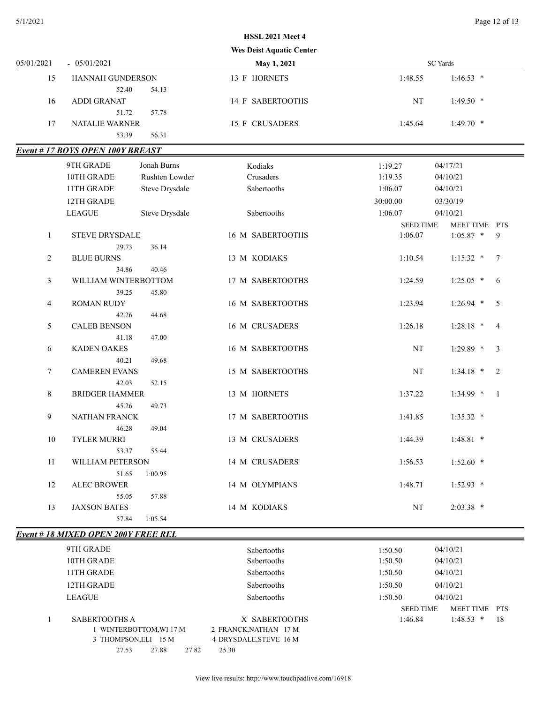# **Wes Deist Aquatic Center HSSL 2021 Meet 4**

| 05/01/2021 | $-05/01/2021$                                 | May 1, 2021      | SC Yards |             |  |
|------------|-----------------------------------------------|------------------|----------|-------------|--|
| 15         | <b>HANNAH GUNDERSON</b>                       | 13 F HORNETS     | 1:48.55  | $1:46.53$ * |  |
|            | 54.13<br>52.40                                |                  |          |             |  |
| 16         | ADDI GRANAT                                   | 14 F SABERTOOTHS | NT       | $1:49.50$ * |  |
|            | 57.78<br>51.72                                |                  |          |             |  |
| 17         | NATALIE WARNER                                | 15 F CRUSADERS   | 1:45.64  | $1:49.70$ * |  |
|            | 56.31<br>53.39                                |                  |          |             |  |
|            | $F_{\text{vent}}$ # 17 ROVS ODEN 100V RDE AST |                  |          |             |  |

#### *Event # 17 BOYS OPEN 100Y BREAST*

|                | <u>veni # 1 / DUTS UFEIN IVVI DREASI</u> |                |                  |                  |                               |
|----------------|------------------------------------------|----------------|------------------|------------------|-------------------------------|
|                | 9TH GRADE                                | Jonah Burns    | Kodiaks          | 1:19.27          | 04/17/21                      |
|                | 10TH GRADE                               | Rushten Lowder | Crusaders        | 1:19.35          | 04/10/21                      |
|                | 11TH GRADE                               | Steve Drysdale | Sabertooths      | 1:06.07          | 04/10/21                      |
|                | 12TH GRADE                               |                |                  | 30:00.00         | 03/30/19                      |
|                | <b>LEAGUE</b>                            | Steve Drysdale | Sabertooths      | 1:06.07          | 04/10/21                      |
|                |                                          |                |                  | <b>SEED TIME</b> | MEET TIME PTS                 |
| $\mathbf{1}$   | <b>STEVE DRYSDALE</b>                    |                | 16 M SABERTOOTHS | 1:06.07          | $1:05.87$ *<br>9              |
|                | 29.73                                    | 36.14          |                  |                  |                               |
| $\overline{2}$ | <b>BLUE BURNS</b>                        |                | 13 M KODIAKS     | 1:10.54          | $\overline{7}$<br>$1:15.32$ * |
|                | 34.86                                    | 40.46          |                  |                  |                               |
| 3              | WILLIAM WINTERBOTTOM                     |                | 17 M SABERTOOTHS | 1:24.59          | $1:25.05$ *<br>6              |
|                | 39.25                                    | 45.80          |                  |                  |                               |
| 4              | <b>ROMAN RUDY</b>                        |                | 16 M SABERTOOTHS | 1:23.94          | 5<br>$1:26.94$ *              |
|                | 42.26                                    | 44.68          |                  |                  |                               |
| 5              | <b>CALEB BENSON</b>                      |                | 16 M CRUSADERS   | 1:26.18          | $1:28.18$ *<br>$\overline{4}$ |
|                | 41.18                                    | 47.00          |                  |                  |                               |
| 6              | <b>KADEN OAKES</b>                       |                | 16 M SABERTOOTHS | $\rm{NT}$        | $\mathfrak{Z}$<br>$1:29.89$ * |
|                | 40.21                                    | 49.68          |                  |                  |                               |
| $\tau$         | <b>CAMEREN EVANS</b>                     |                | 15 M SABERTOOTHS | NT               | $1:34.18$ *<br>2              |
|                | 42.03                                    | 52.15          |                  |                  |                               |
| $\,8\,$        | <b>BRIDGER HAMMER</b>                    |                | 13 M HORNETS     | 1:37.22          | $1:34.99$ *<br>$\overline{1}$ |
|                | 45.26                                    | 49.73          |                  |                  |                               |
| 9              | NATHAN FRANCK                            |                | 17 M SABERTOOTHS | 1:41.85          | $1:35.32$ *                   |
|                | 46.28                                    | 49.04          |                  |                  |                               |
| $10\,$         | <b>TYLER MURRI</b>                       |                | 13 M CRUSADERS   | 1:44.39          | $1:48.81$ *                   |
|                | 53.37                                    | 55.44          |                  |                  |                               |
| 11             | WILLIAM PETERSON                         |                | 14 M CRUSADERS   | 1:56.53          | $1:52.60$ *                   |
|                | 51.65                                    | 1:00.95        |                  |                  |                               |
| 12             | <b>ALEC BROWER</b>                       |                | 14 M OLYMPIANS   | 1:48.71          | $1:52.93$ *                   |
|                | 55.05                                    | 57.88          |                  |                  |                               |
| 13             | <b>JAXSON BATES</b>                      |                | 14 M KODIAKS     | NT               | $2:03.38$ *                   |
|                | 57.84                                    | 1:05.54        |                  |                  |                               |

### *Event # 18 MIXED OPEN 200Y FREE REL*

| 9TH GRADE               | Sabertooths            | 1:50.50          | 04/10/21          |
|-------------------------|------------------------|------------------|-------------------|
| 10TH GRADE              | <b>Sabertooths</b>     | 1:50.50          | 04/10/21          |
| 11TH GRADE              | Sabertooths            | 1:50.50          | 04/10/21          |
| 12TH GRADE              | <b>Sabertooths</b>     | 1:50.50          | 04/10/21          |
| <b>LEAGUE</b>           | <b>Sabertooths</b>     | 1:50.50          | 04/10/21          |
|                         |                        | <b>SEED TIME</b> | MEET TIME PTS     |
| SABERTOOTHS A           | X SABERTOOTHS          | 1:46.84          | 18<br>$1:48.53$ * |
| 1 WINTERBOTTOM, WI 17 M | 2 FRANCK, NATHAN 17 M  |                  |                   |
| 3 THOMPSON, ELI 15 M    | 4 DRYSDALE, STEVE 16 M |                  |                   |
| 27.88<br>27.82<br>27.53 | 25.30                  |                  |                   |